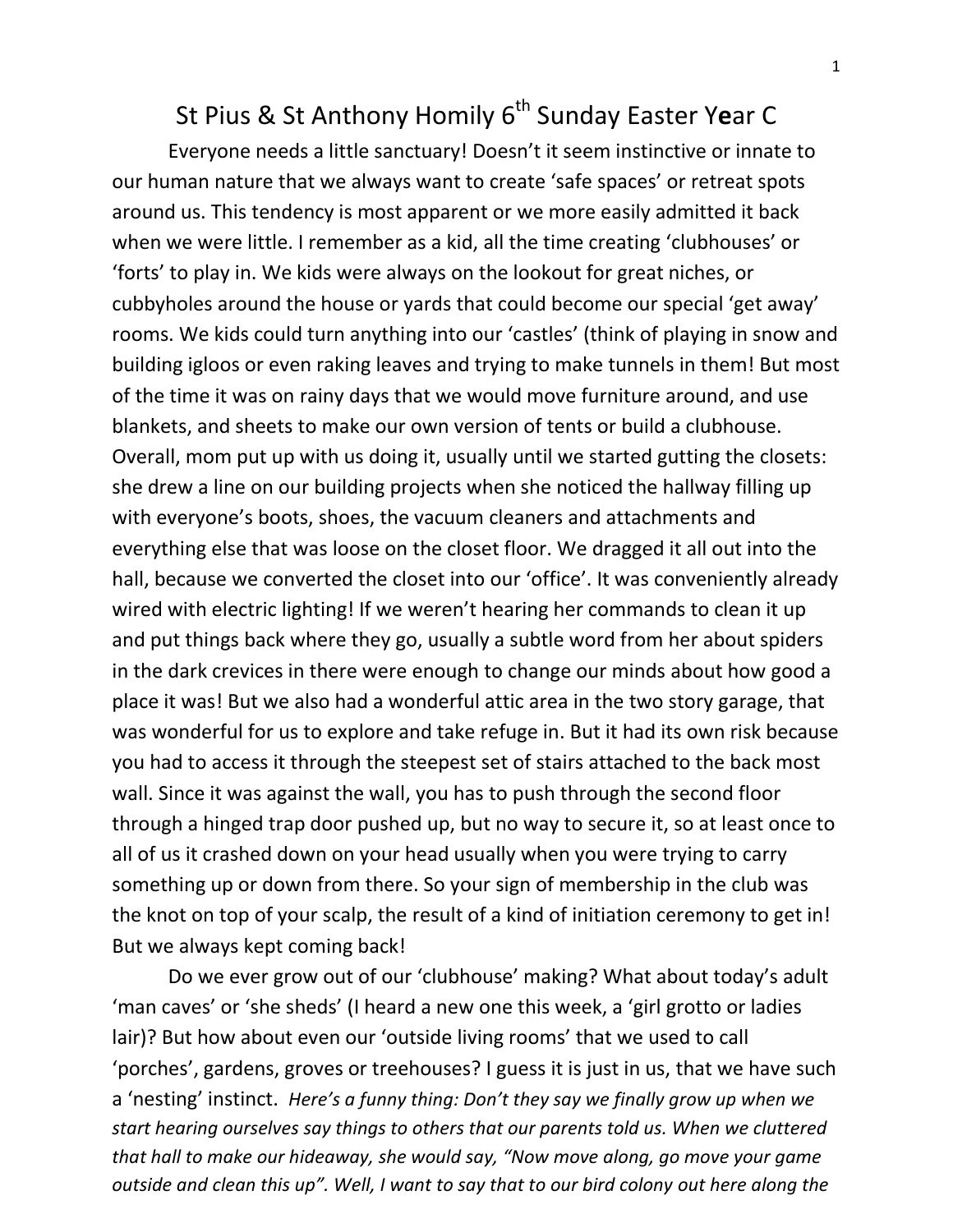## St Pius & St Anthony Homily 6<sup>th</sup> Sunday Easter Year C

Everyone needs a little sanctuary! Doesn't it seem instinctive or innate to our human nature that we always want to create 'safe spaces' or retreat spots around us. This tendency is most apparent or we more easily admitted it back when we were little. I remember as a kid, all the time creating 'clubhouses' or 'forts' to play in. We kids were always on the lookout for great niches, or cubbyholes around the house or yards that could become our special 'get away' rooms. We kids could turn anything into our 'castles' (think of playing in snow and building igloos or even raking leaves and trying to make tunnels in them! But most of the time it was on rainy days that we would move furniture around, and use blankets, and sheets to make our own version of tents or build a clubhouse. Overall, mom put up with us doing it, usually until we started gutting the closets: she drew a line on our building projects when she noticed the hallway filling up with everyone's boots, shoes, the vacuum cleaners and attachments and everything else that was loose on the closet floor. We dragged it all out into the hall, because we converted the closet into our 'office'. It was conveniently already wired with electric lighting! If we weren't hearing her commands to clean it up and put things back where they go, usually a subtle word from her about spiders in the dark crevices in there were enough to change our minds about how good a place it was! But we also had a wonderful attic area in the two story garage, that was wonderful for us to explore and take refuge in. But it had its own risk because you had to access it through the steepest set of stairs attached to the back most wall. Since it was against the wall, you has to push through the second floor through a hinged trap door pushed up, but no way to secure it, so at least once to all of us it crashed down on your head usually when you were trying to carry something up or down from there. So your sign of membership in the club was the knot on top of your scalp, the result of a kind of initiation ceremony to get in! But we always kept coming back!

Do we ever grow out of our 'clubhouse' making? What about today's adult 'man caves' or 'she sheds' (I heard a new one this week, a 'girl grotto or ladies lair)? But how about even our 'outside living rooms' that we used to call 'porches', gardens, groves or treehouses? I guess it is just in us, that we have such a 'nesting' instinct. *Here's a funny thing: Don't they say we finally grow up when we start hearing ourselves say things to others that our parents told us. When we cluttered that hall to make our hideaway, she would say, "Now move along, go move your game outside and clean this up". Well, I want to say that to our bird colony out here along the*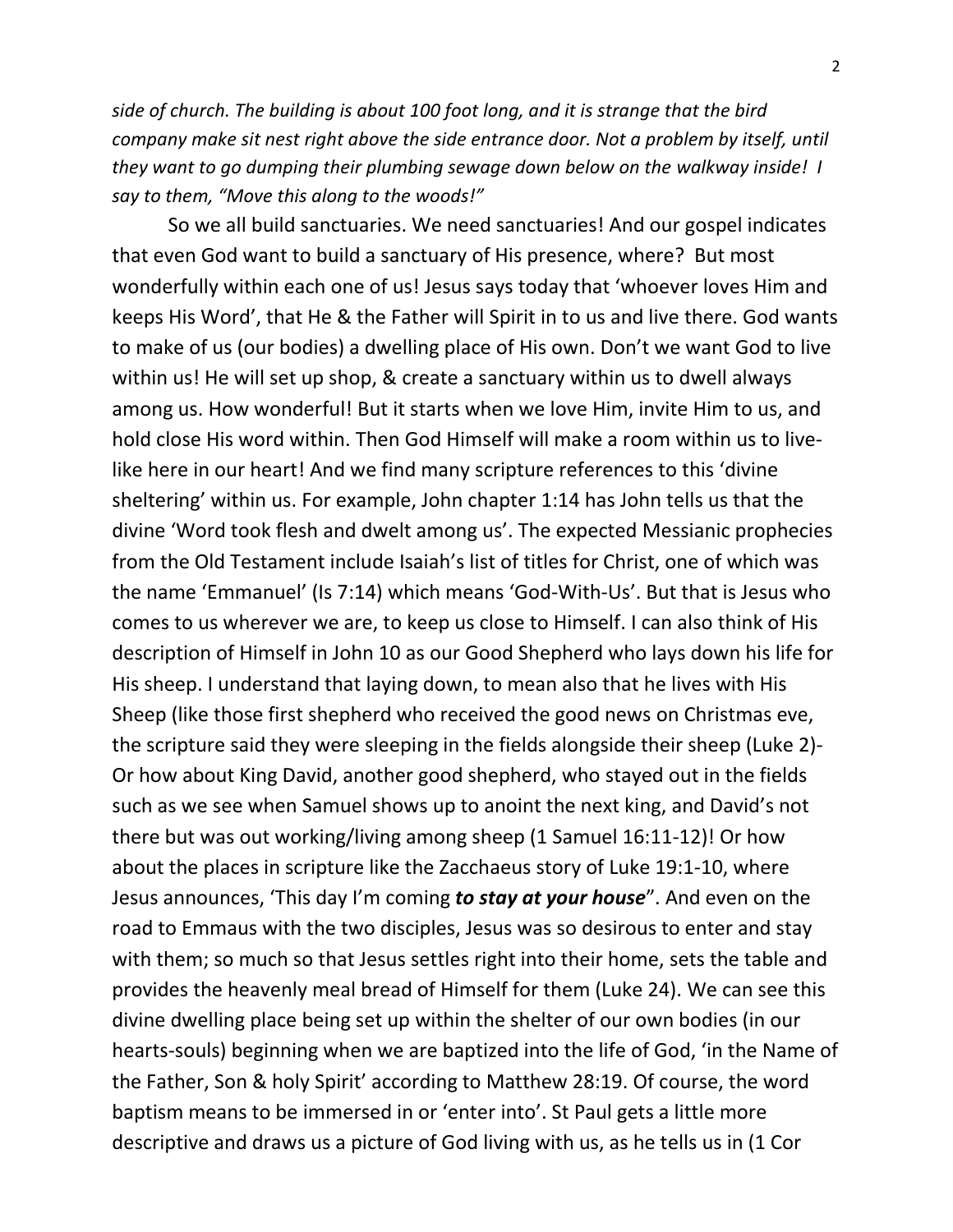*side of church. The building is about 100 foot long, and it is strange that the bird company make sit nest right above the side entrance door. Not a problem by itself, until they want to go dumping their plumbing sewage down below on the walkway inside! I say to them, "Move this along to the woods!"* 

So we all build sanctuaries. We need sanctuaries! And our gospel indicates that even God want to build a sanctuary of His presence, where? But most wonderfully within each one of us! Jesus says today that 'whoever loves Him and keeps His Word', that He & the Father will Spirit in to us and live there. God wants to make of us (our bodies) a dwelling place of His own. Don't we want God to live within us! He will set up shop, & create a sanctuary within us to dwell always among us. How wonderful! But it starts when we love Him, invite Him to us, and hold close His word within. Then God Himself will make a room within us to livelike here in our heart! And we find many scripture references to this 'divine sheltering' within us. For example, John chapter 1:14 has John tells us that the divine 'Word took flesh and dwelt among us'. The expected Messianic prophecies from the Old Testament include Isaiah's list of titles for Christ, one of which was the name 'Emmanuel' (Is 7:14) which means 'God-With-Us'. But that is Jesus who comes to us wherever we are, to keep us close to Himself. I can also think of His description of Himself in John 10 as our Good Shepherd who lays down his life for His sheep. I understand that laying down, to mean also that he lives with His Sheep (like those first shepherd who received the good news on Christmas eve, the scripture said they were sleeping in the fields alongside their sheep (Luke 2)- Or how about King David, another good shepherd, who stayed out in the fields such as we see when Samuel shows up to anoint the next king, and David's not there but was out working/living among sheep (1 Samuel 16:11-12)! Or how about the places in scripture like the Zacchaeus story of Luke 19:1-10, where Jesus announces, 'This day I'm coming *to stay at your house*". And even on the road to Emmaus with the two disciples, Jesus was so desirous to enter and stay with them; so much so that Jesus settles right into their home, sets the table and provides the heavenly meal bread of Himself for them (Luke 24). We can see this divine dwelling place being set up within the shelter of our own bodies (in our hearts-souls) beginning when we are baptized into the life of God, 'in the Name of the Father, Son & holy Spirit' according to Matthew 28:19. Of course, the word baptism means to be immersed in or 'enter into'. St Paul gets a little more descriptive and draws us a picture of God living with us, as he tells us in (1 Cor